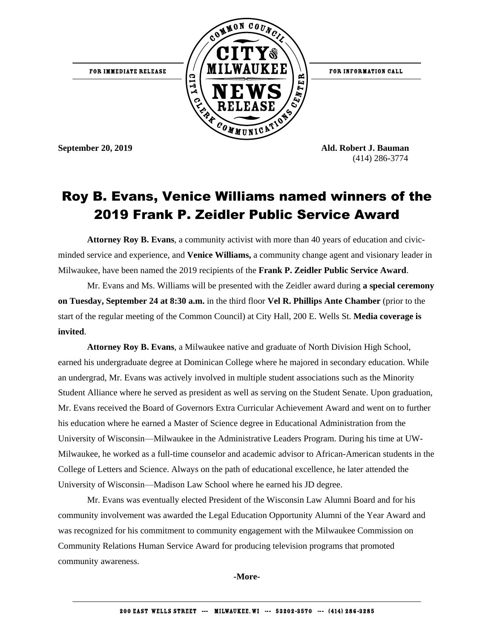

FOR INFORMATION CALL

**September 20, 2019 Ald. Robert J. Bauman** (414) 286-3774

## Roy B. Evans, Venice Williams named winners of the 2019 Frank P. Zeidler Public Service Award

**Attorney Roy B. Evans**, a community activist with more than 40 years of education and civicminded service and experience, and **Venice Williams,** a community change agent and visionary leader in Milwaukee, have been named the 2019 recipients of the **Frank P. Zeidler Public Service Award**.

Mr. Evans and Ms. Williams will be presented with the Zeidler award during **a special ceremony on Tuesday, September 24 at 8:30 a.m.** in the third floor **Vel R. Phillips Ante Chamber** (prior to the start of the regular meeting of the Common Council) at City Hall, 200 E. Wells St. **Media coverage is invited**.

**Attorney Roy B. Evans**, a Milwaukee native and graduate of North Division High School, earned his undergraduate degree at Dominican College where he majored in secondary education. While an undergrad, Mr. Evans was actively involved in multiple student associations such as the Minority Student Alliance where he served as president as well as serving on the Student Senate. Upon graduation, Mr. Evans received the Board of Governors Extra Curricular Achievement Award and went on to further his education where he earned a Master of Science degree in Educational Administration from the University of Wisconsin—Milwaukee in the Administrative Leaders Program. During his time at UW-Milwaukee, he worked as a full-time counselor and academic advisor to African-American students in the College of Letters and Science. Always on the path of educational excellence, he later attended the University of Wisconsin—Madison Law School where he earned his JD degree.

Mr. Evans was eventually elected President of the Wisconsin Law Alumni Board and for his community involvement was awarded the Legal Education Opportunity Alumni of the Year Award and was recognized for his commitment to community engagement with the Milwaukee Commission on Community Relations Human Service Award for producing television programs that promoted community awareness.

**-More-**